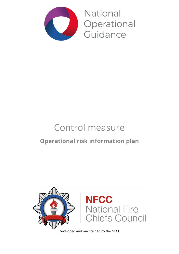

**National** Operational Guidance

# Control measure **Operational risk information plan**



Developed and maintained by the NFCC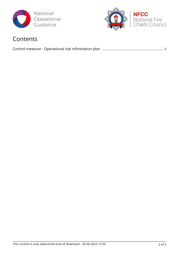



### Contents